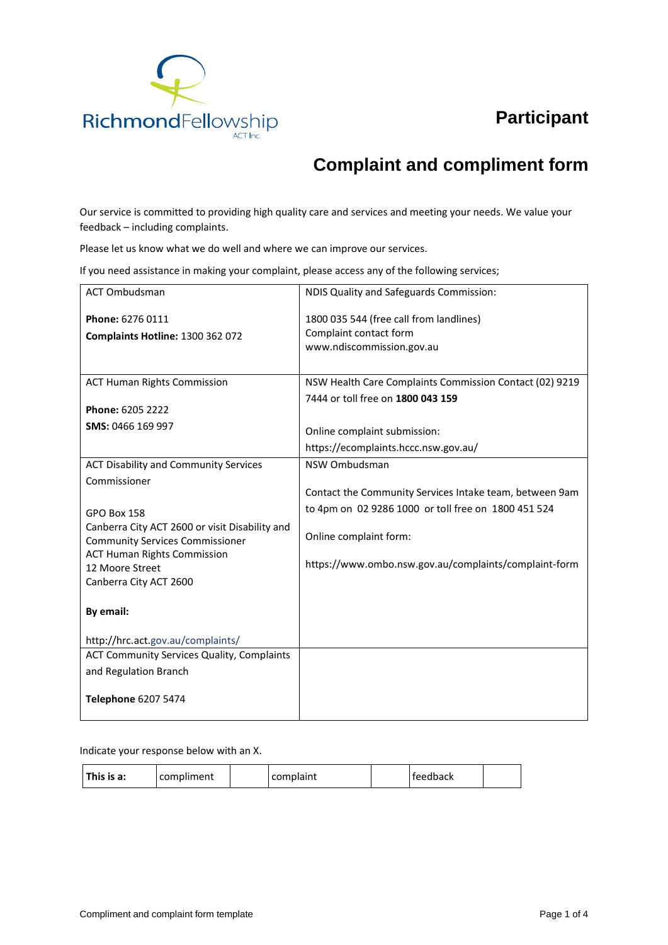

# **Participant**

# **Complaint and compliment form**

Our service is committed to providing high quality care and services and meeting your needs. We value your feedback – including complaints.

Please let us know what we do well and where we can improve our services.

If you need assistance in making your complaint, please access any of the following services;

| <b>ACT Ombudsman</b>                                                                                                                                                                                              | NDIS Quality and Safeguards Commission:                                                                                                                                                           |
|-------------------------------------------------------------------------------------------------------------------------------------------------------------------------------------------------------------------|---------------------------------------------------------------------------------------------------------------------------------------------------------------------------------------------------|
| Phone: 6276 0111<br>Complaints Hotline: 1300 362 072                                                                                                                                                              | 1800 035 544 (free call from landlines)<br>Complaint contact form<br>www.ndiscommission.gov.au                                                                                                    |
| <b>ACT Human Rights Commission</b>                                                                                                                                                                                | NSW Health Care Complaints Commission Contact (02) 9219                                                                                                                                           |
| Phone: 6205 2222<br>SMS: 0466 169 997                                                                                                                                                                             | 7444 or toll free on 1800 043 159<br>Online complaint submission:<br>https://ecomplaints.hccc.nsw.gov.au/                                                                                         |
| <b>ACT Disability and Community Services</b>                                                                                                                                                                      | NSW Ombudsman                                                                                                                                                                                     |
| Commissioner<br><b>GPO Box 158</b><br>Canberra City ACT 2600 or visit Disability and<br><b>Community Services Commissioner</b><br><b>ACT Human Rights Commission</b><br>12 Moore Street<br>Canberra City ACT 2600 | Contact the Community Services Intake team, between 9am<br>to 4pm on 02 9286 1000 or toll free on 1800 451 524<br>Online complaint form:<br>https://www.ombo.nsw.gov.au/complaints/complaint-form |
| By email:                                                                                                                                                                                                         |                                                                                                                                                                                                   |
| http://hrc.act.gov.au/complaints/                                                                                                                                                                                 |                                                                                                                                                                                                   |
| <b>ACT Community Services Quality, Complaints</b>                                                                                                                                                                 |                                                                                                                                                                                                   |
| and Regulation Branch                                                                                                                                                                                             |                                                                                                                                                                                                   |
| Telephone 6207 5474                                                                                                                                                                                               |                                                                                                                                                                                                   |

#### Indicate your response below with an X.

| This is a:<br>complaint<br>compliment | feedback |  |
|---------------------------------------|----------|--|
|---------------------------------------|----------|--|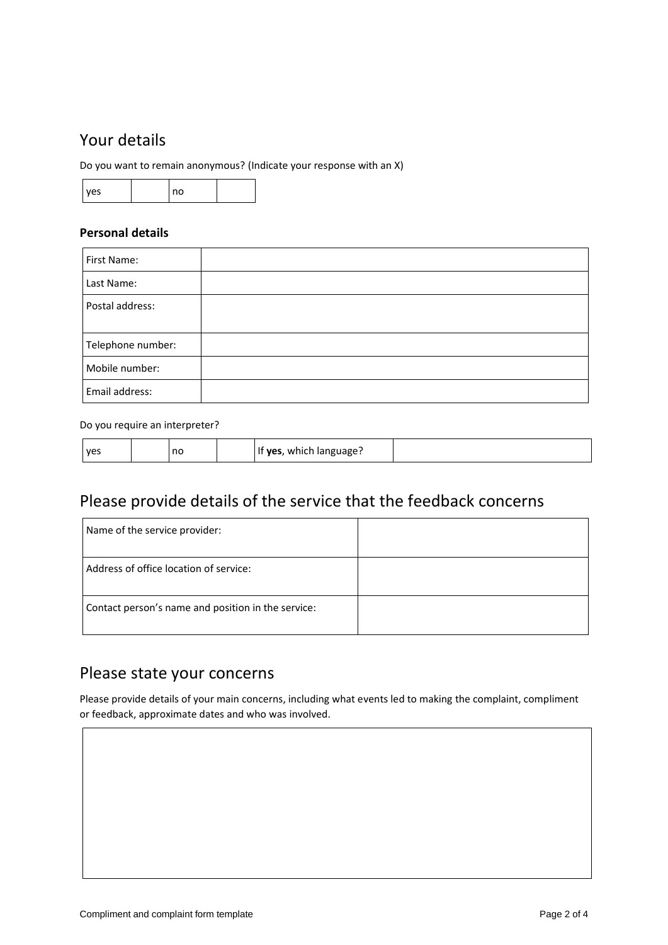### Your details

Do you want to remain anonymous? (Indicate your response with an X)

| VAC<br>-- |  |  |  |
|-----------|--|--|--|
|-----------|--|--|--|

### **Personal details**

| First Name:       |  |
|-------------------|--|
| Last Name:        |  |
| Postal address:   |  |
| Telephone number: |  |
| Mobile number:    |  |
| Email address:    |  |

#### Do you require an interpreter?

| <b>ves</b> |  | no |  | which language:<br>ves<br>. .<br>. . |  |
|------------|--|----|--|--------------------------------------|--|
|------------|--|----|--|--------------------------------------|--|

# Please provide details of the service that the feedback concerns

| Name of the service provider:                      |  |
|----------------------------------------------------|--|
| Address of office location of service:             |  |
| Contact person's name and position in the service: |  |

# Please state your concerns

Please provide details of your main concerns, including what events led to making the complaint, compliment or feedback, approximate dates and who was involved.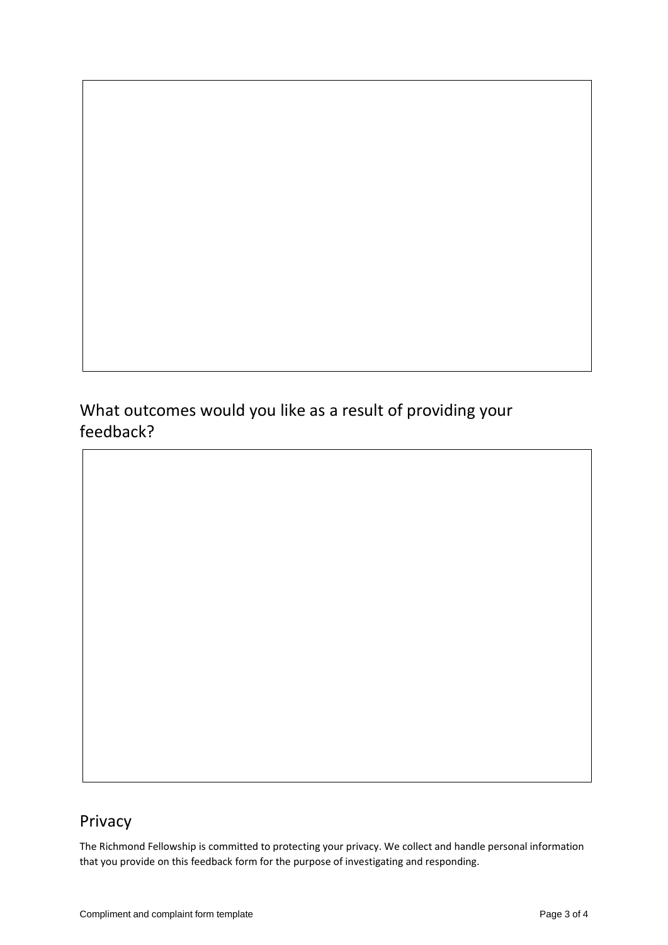What outcomes would you like as a result of providing your feedback?

### Privacy

The Richmond Fellowship is committed to protecting your privacy. We collect and handle personal information that you provide on this feedback form for the purpose of investigating and responding.